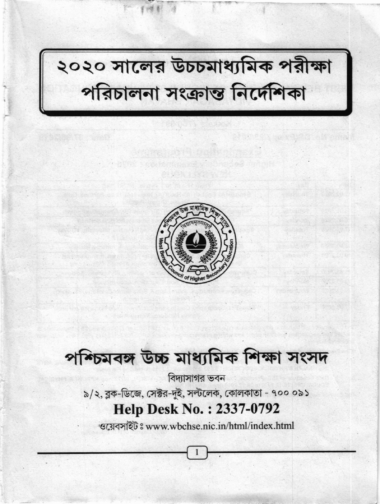

২০২০ সালের উচচমাধ্যমিক পরীক্ষা<br>পরিচালনা সংক্রান্ত নির্দেশিকা

## পশ্চিমবঙ্গ উচ্চ মাধ্যমিক শিক্ষা সংসদ

বিদ্যাসাগর ভবন ৯/২, ব্লক-ডিজে, সেক্টর-দুই, সল্টলেক, কোলকাতা - ৭০০ ০৯১ **Help Desk No.: 2337-0792** 

ওয়েবসাইটঃ www.wbchse.nic.in/html/index.html